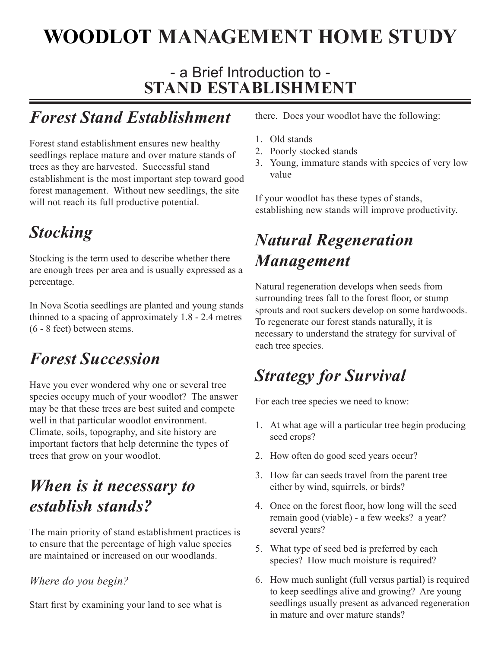# **WOODLOT MANAGEMENT HOME STUDY**

#### - a Brief Introduction to - **STAND ESTABLISHMENT**

### *Forest Stand Establishment*

Forest stand establishment ensures new healthy seedlings replace mature and over mature stands of trees as they are harvested. Successful stand establishment is the most important step toward good forest management. Without new seedlings, the site will not reach its full productive potential.

## *Stocking*

Stocking is the term used to describe whether there are enough trees per area and is usually expressed as a percentage.

In Nova Scotia seedlings are planted and young stands thinned to a spacing of approximately 1.8 - 2.4 metres (6 - 8 feet) between stems.

### *Forest Succession*

Have you ever wondered why one or several tree species occupy much of your woodlot? The answer may be that these trees are best suited and compete well in that particular woodlot environment. Climate, soils, topography, and site history are important factors that help determine the types of trees that grow on your woodlot.

### *When is it necessary to establish stands?*

The main priority of stand establishment practices is to ensure that the percentage of high value species are maintained or increased on our woodlands.

#### *Where do you begin?*

Start first by examining your land to see what is

there. Does your woodlot have the following:

- Old stands 1.
- Poorly stocked stands 2.
- 3. Young, immature stands with species of very low value

If your woodlot has these types of stands, establishing new stands will improve productivity.

### *Natural Regeneration Management*

Natural regeneration develops when seeds from surrounding trees fall to the forest floor, or stump sprouts and root suckers develop on some hardwoods. To regenerate our forest stands naturally, it is necessary to understand the strategy for survival of each tree species.

## *Strategy for Survival*

For each tree species we need to know:

- At what age will a particular tree begin producing 1. seed crops?
- 2. How often do good seed years occur?
- 3. How far can seeds travel from the parent tree either by wind, squirrels, or birds?
- Once on the forest floor, how long will the seed 4. remain good (viable) - a few weeks? a year? several years?
- What type of seed bed is preferred by each 5. species? How much moisture is required?
- 6. How much sunlight (full versus partial) is required to keep seedlings alive and growing? Are young seedlings usually present as advanced regeneration in mature and over mature stands?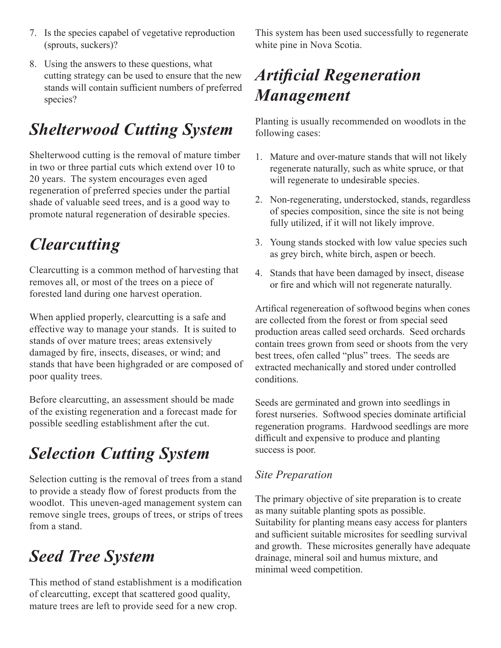- 7. Is the species capabel of vegetative reproduction (sprouts, suckers)?
- Using the answers to these questions, what 8. cutting strategy can be used to ensure that the new stands will contain sufficient numbers of preferred species?

## *Shelterwood Cutting System*

Shelterwood cutting is the removal of mature timber in two or three partial cuts which extend over 10 to 20 years. The system encourages even aged regeneration of preferred species under the partial shade of valuable seed trees, and is a good way to promote natural regeneration of desirable species.

## *Clearcutting*

Clearcutting is a common method of harvesting that removes all, or most of the trees on a piece of forested land during one harvest operation.

When applied properly, clearcutting is a safe and effective way to manage your stands. It is suited to stands of over mature trees; areas extensively damaged by fire, insects, diseases, or wind; and stands that have been highgraded or are composed of poor quality trees.

Before clearcutting, an assessment should be made of the existing regeneration and a forecast made for possible seedling establishment after the cut.

## *Selection Cutting System*

Selection cutting is the removal of trees from a stand to provide a steady flow of forest products from the woodlot. This uneven-aged management system can remove single trees, groups of trees, or strips of trees from a stand.

### *Seed Tree System*

This method of stand establishment is a modification of clearcutting, except that scattered good quality, mature trees are left to provide seed for a new crop.

This system has been used successfully to regenerate white pine in Nova Scotia.

## *Artificial Regeneration Management*

Planting is usually recommended on woodlots in the following cases:

- Mature and over-mature stands that will not likely 1. regenerate naturally, such as white spruce, or that will regenerate to undesirable species.
- Non-regenerating, understocked, stands, regardless 2. of species composition, since the site is not being fully utilized, if it will not likely improve.
- 3. Young stands stocked with low value species such as grey birch, white birch, aspen or beech.
- Stands that have been damaged by insect, disease 4.or fire and which will not regenerate naturally.

Artifical regenereation of softwood begins when cones are collected from the forest or from special seed production areas called seed orchards. Seed orchards contain trees grown from seed or shoots from the very best trees, ofen called "plus" trees. The seeds are extracted mechanically and stored under controlled conditions.

Seeds are germinated and grown into seedlings in forest nurseries. Softwood species dominate artificial regeneration programs. Hardwood seedlings are more difficult and expensive to produce and planting success is poor.

#### *Site Preparation*

The primary objective of site preparation is to create as many suitable planting spots as possible. Suitability for planting means easy access for planters and sufficient suitable microsites for seedling survival and growth. These microsites generally have adequate drainage, mineral soil and humus mixture, and minimal weed competition.